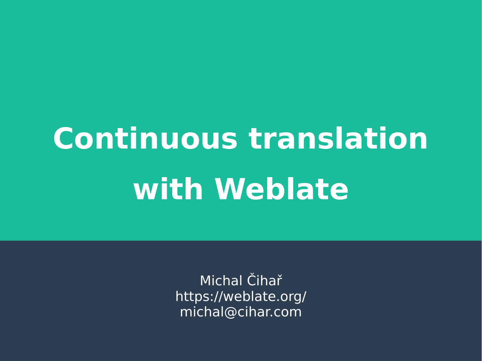# **Continuous translation with Weblate**

Michal Čihař https://weblate.org/ michal@cihar.com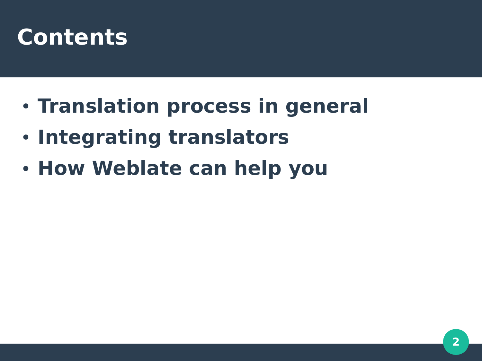### **Contents**

- **Translation process in general**
- **Integrating translators**
- **How Weblate can help you**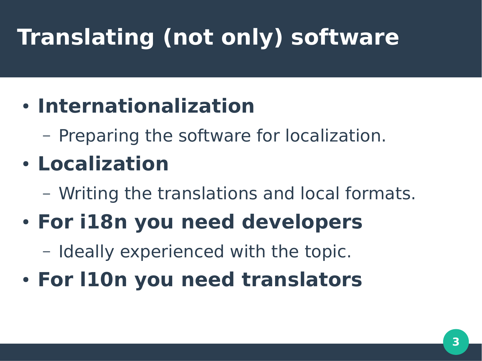# **Translating (not only) software**

#### ● **Internationalization**

– Preparing the software for localization.

### ● **Localization**

– Writing the translations and local formats.

#### ● **For i18n you need developers**

– Ideally experienced with the topic.

● **For l10n you need translators**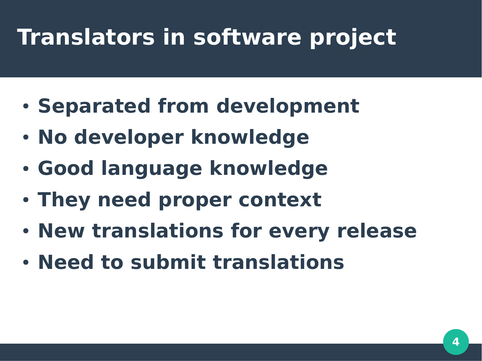# **Translators in software project**

- **Separated from development**
- **No developer knowledge**
- **Good language knowledge**
- **They need proper context**
- **New translations for every release**
- **Need to submit translations**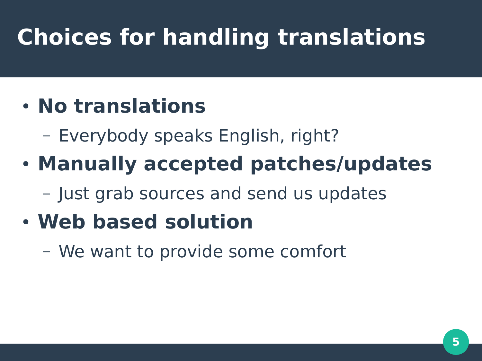# **Choices for handling translations**

#### ● **No translations**

- Everybody speaks English, right?
- **Manually accepted patches/updates**

– Just grab sources and send us updates

### ● **Web based solution**

– We want to provide some comfort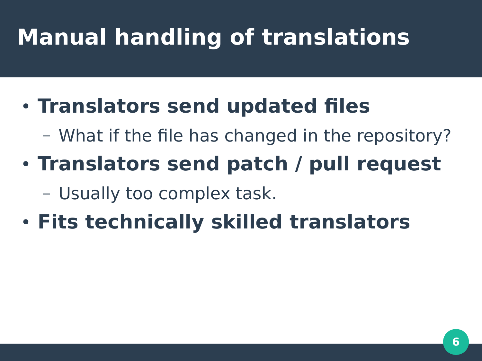# **Manual handling of translations**

#### **• Translators send updated files**

- What if the file has changed in the repository?
- **Translators send patch / pull request**

– Usually too complex task.

● **Fits technically skilled translators**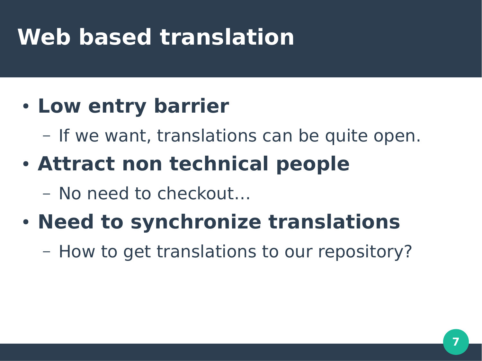### **Web based translation**

#### • Low entry barrier

– If we want, translations can be quite open.

### **• Attract non technical people**

– No need to checkout…

### • **Need to synchronize translations**

– How to get translations to our repository?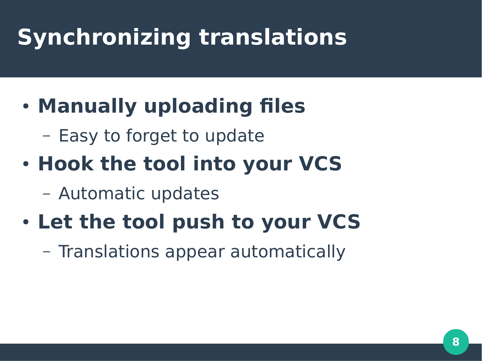# **Synchronizing translations**

### ● **Manually uploading files**

– Easy to forget to update

### • Hook the tool into your VCS

– Automatic updates

#### **• Let the tool push to your VCS**

– Translations appear automatically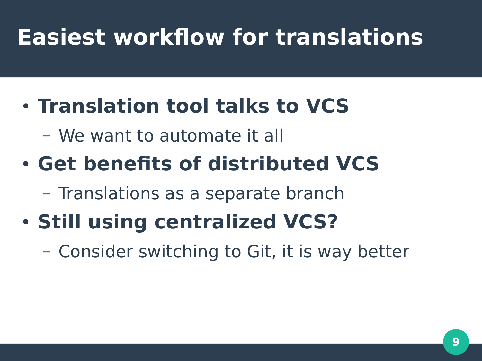### **Easiest workflow for translations**

#### ● **Translation tool talks to VCS**

– We want to automate it all

### ● **Get benefits of distributed VCS**

- Translations as a separate branch
- **Still using centralized VCS?**
	- Consider switching to Git, it is way better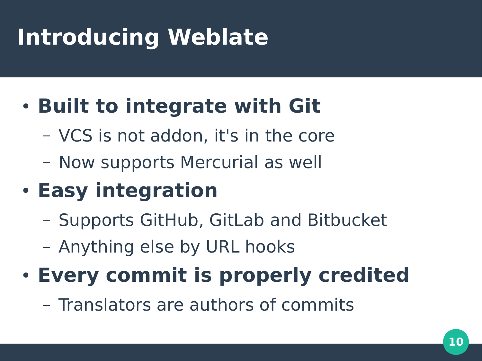# **Introducing Weblate**

### **• Built to integrate with Git**

- VCS is not addon, it's in the core
- Now supports Mercurial as well

### ● **Easy integration**

- Supports GitHub, GitLab and Bitbucket
- Anything else by URL hooks

### **• Every commit is properly credited**

– Translators are authors of commits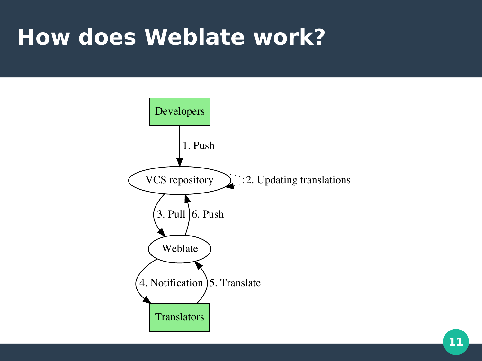### **How does Weblate work?**

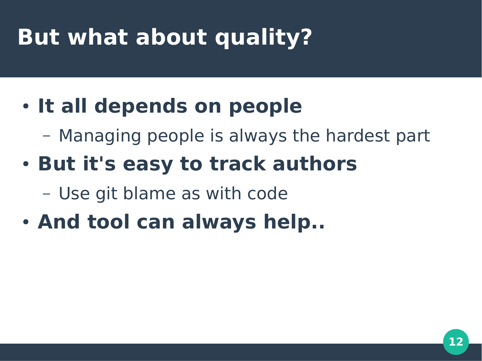# **But what about quality?**

### • It all depends on people

- Managing people is always the hardest part
- **But it's easy to track authors**

– Use git blame as with code

• And tool can always help..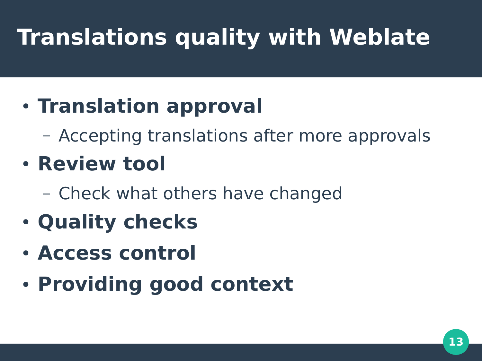# **Translations quality with Weblate**

#### **• Translation approval**

– Accepting translations after more approvals

### ● **Review tool**

- Check what others have changed
- **Quality checks**
- **Access control**
- **Providing good context**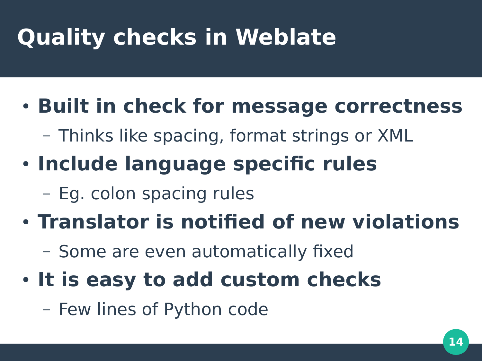# **Quality checks in Weblate**

### **• Built in check for message correctness**

- Thinks like spacing, format strings or XML
- **Include language specific rules** 
	- Eg. colon spacing rules

#### ● **Translator is notified of new violations**

- Some are even automatically fixed
- **It is easy to add custom checks** 
	- Few lines of Python code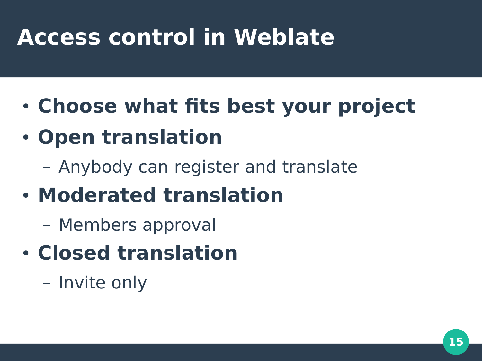### **Access control in Weblate**

- **Choose what fits best your project**
- **Open translation**
	- Anybody can register and translate
- **Moderated translation**
	- Members approval
- **Closed translation**
	- Invite only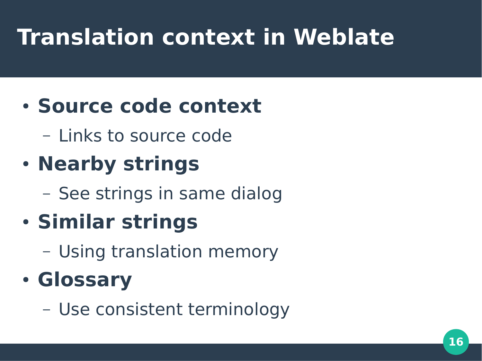# **Translation context in Weblate**

#### ● **Source code context**

– Links to source code

### ● **Nearby strings**

– See strings in same dialog

### ● **Similar strings**

– Using translation memory

### ● **Glossary**

– Use consistent terminology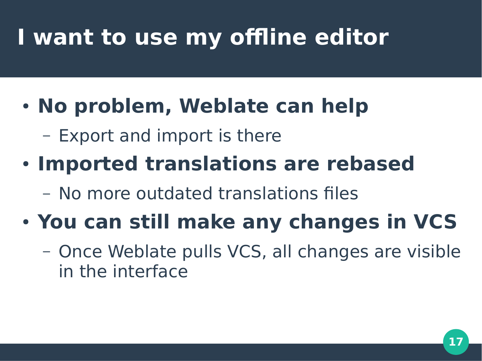# **I want to use my offline editor**

#### • No problem, Weblate can help

– Export and import is there

#### **• Imported translations are rebased**

– No more outdated translations files

### ● **You can still make any changes in VCS**

– Once Weblate pulls VCS, all changes are visible in the interface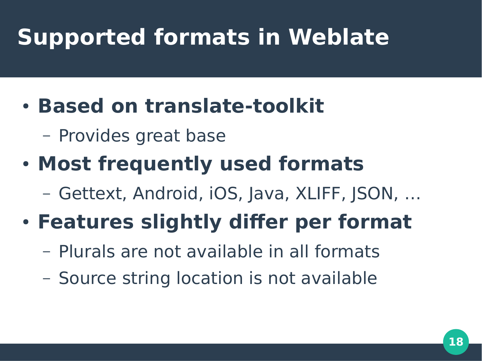# **Supported formats in Weblate**

#### ● **Based on translate-toolkit**

– Provides great base

### ● **Most frequently used formats**

– Gettext, Android, iOS, Java, XLIFF, JSON, …

### ● **Features slightly differ per format**

- Plurals are not available in all formats
- Source string location is not available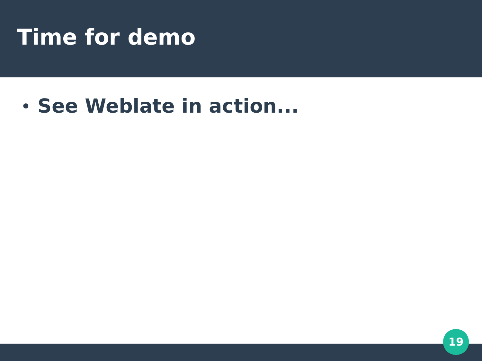### **Time for demo**

#### ● **See Weblate in action...**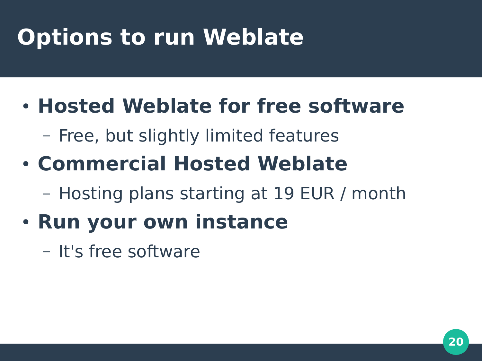# **Options to run Weblate**

- **Hosted Weblate for free software**
	- Free, but slightly limited features
- **Commercial Hosted Weblate**
	- Hosting plans starting at 19 EUR / month
- **Run your own instance** 
	- It's free software